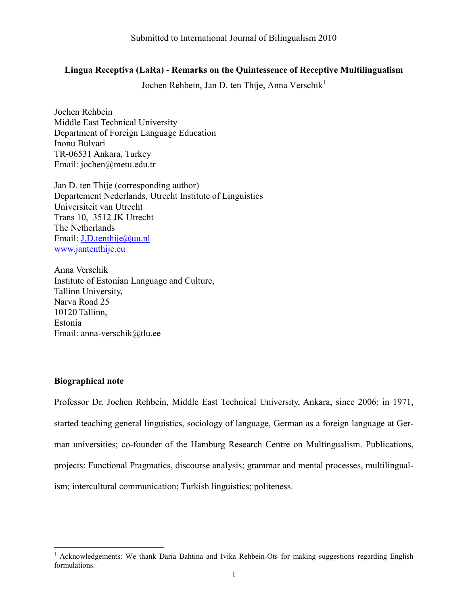# Lingua Receptiva (LaRa) - Remarks on the Quintessence of Receptive Multilingualism

Jochen Rehbein, Jan D. ten Thije, Anna Verschik<sup>1</sup>

Jochen Rehbein Middle East Technical University Department of Foreign Language Education Inonu Bulvari TR-06531 Ankara, Turkey Email: jochen@metu.edu.tr

Jan D. ten Thije (corresponding author) Departement Nederlands, Utrecht Institute of Linguistics Universiteit van Utrecht Trans 10, 3512 JK Utrecht The Netherlands Email: J.D.tenthije@uu.nl www.jantenthije.eu

Anna Verschik Institute of Estonian Language and Culture, Tallinn University, Narva Road 25 10120 Tallinn, Estonia Email: anna-verschik@tlu.ee

# Biographical note

 $\overline{a}$ 

Professor Dr. Jochen Rehbein, Middle East Technical University, Ankara, since 2006; in 1971, started teaching general linguistics, sociology of language, German as a foreign language at German universities; co-founder of the Hamburg Research Centre on Multingualism. Publications, projects: Functional Pragmatics, discourse analysis; grammar and mental processes, multilingualism; intercultural communication; Turkish linguistics; politeness.

<sup>&</sup>lt;sup>1</sup> Acknowledgements: We thank Daria Bahtina and Ivika Rehbein-Ots for making suggestions regarding English formulations.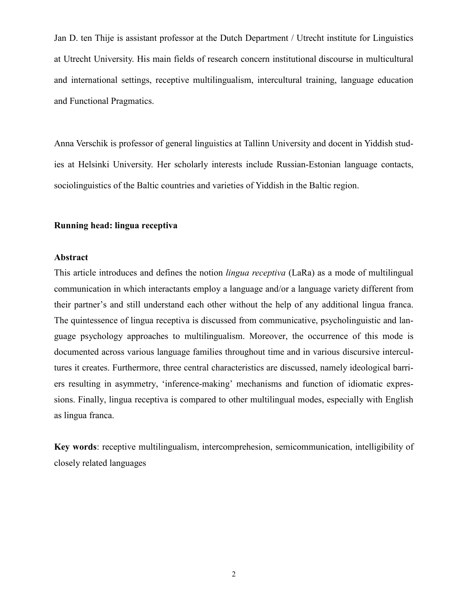Jan D. ten Thije is assistant professor at the Dutch Department / Utrecht institute for Linguistics at Utrecht University. His main fields of research concern institutional discourse in multicultural and international settings, receptive multilingualism, intercultural training, language education and Functional Pragmatics.

Anna Verschik is professor of general linguistics at Tallinn University and docent in Yiddish studies at Helsinki University. Her scholarly interests include Russian-Estonian language contacts, sociolinguistics of the Baltic countries and varieties of Yiddish in the Baltic region.

# Running head: lingua receptiva

## Abstract

This article introduces and defines the notion *lingua receptiva* (LaRa) as a mode of multilingual communication in which interactants employ a language and/or a language variety different from their partner's and still understand each other without the help of any additional lingua franca. The quintessence of lingua receptiva is discussed from communicative, psycholinguistic and language psychology approaches to multilingualism. Moreover, the occurrence of this mode is documented across various language families throughout time and in various discursive intercultures it creates. Furthermore, three central characteristics are discussed, namely ideological barriers resulting in asymmetry, 'inference-making' mechanisms and function of idiomatic expressions. Finally, lingua receptiva is compared to other multilingual modes, especially with English as lingua franca.

Key words: receptive multilingualism, intercomprehesion, semicommunication, intelligibility of closely related languages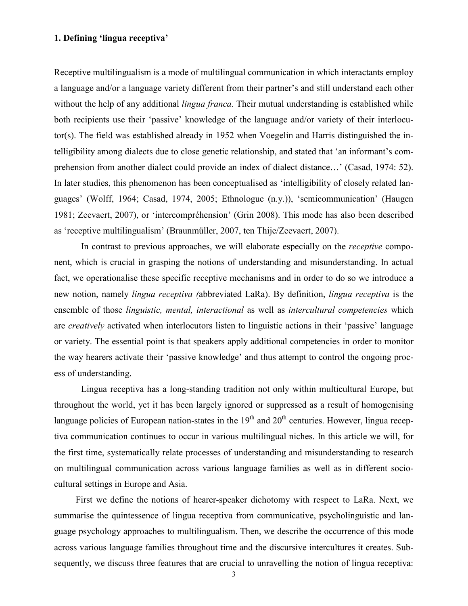# 1. Defining 'lingua receptiva'

Receptive multilingualism is a mode of multilingual communication in which interactants employ a language and/or a language variety different from their partner's and still understand each other without the help of any additional *lingua franca*. Their mutual understanding is established while both recipients use their 'passive' knowledge of the language and/or variety of their interlocutor(s). The field was established already in 1952 when Voegelin and Harris distinguished the intelligibility among dialects due to close genetic relationship, and stated that 'an informant's comprehension from another dialect could provide an index of dialect distance…' (Casad, 1974: 52). In later studies, this phenomenon has been conceptualised as 'intelligibility of closely related languages' (Wolff, 1964; Casad, 1974, 2005; Ethnologue (n.y.)), 'semicommunication' (Haugen 1981; Zeevaert, 2007), or 'intercompréhension' (Grin 2008). This mode has also been described as 'receptive multilingualism' (Braunmüller, 2007, ten Thije/Zeevaert, 2007).

In contrast to previous approaches, we will elaborate especially on the *receptive* component, which is crucial in grasping the notions of understanding and misunderstanding. In actual fact, we operationalise these specific receptive mechanisms and in order to do so we introduce a new notion, namely *lingua receptiva (abbreviated LaRa)*. By definition, *lingua receptiva* is the ensemble of those *linguistic*, *mental, interactional* as well as *intercultural competencies* which are creatively activated when interlocutors listen to linguistic actions in their 'passive' language or variety. The essential point is that speakers apply additional competencies in order to monitor the way hearers activate their 'passive knowledge' and thus attempt to control the ongoing process of understanding.

Lingua receptiva has a long-standing tradition not only within multicultural Europe, but throughout the world, yet it has been largely ignored or suppressed as a result of homogenising language policies of European nation-states in the  $19<sup>th</sup>$  and  $20<sup>th</sup>$  centuries. However, lingua receptiva communication continues to occur in various multilingual niches. In this article we will, for the first time, systematically relate processes of understanding and misunderstanding to research on multilingual communication across various language families as well as in different sociocultural settings in Europe and Asia.

First we define the notions of hearer-speaker dichotomy with respect to LaRa. Next, we summarise the quintessence of lingua receptiva from communicative, psycholinguistic and language psychology approaches to multilingualism. Then, we describe the occurrence of this mode across various language families throughout time and the discursive intercultures it creates. Subsequently, we discuss three features that are crucial to unravelling the notion of lingua receptiva:

3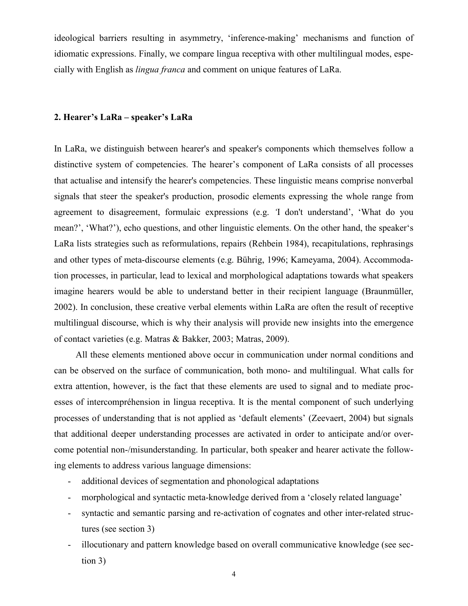ideological barriers resulting in asymmetry, 'inference-making' mechanisms and function of idiomatic expressions. Finally, we compare lingua receptiva with other multilingual modes, especially with English as lingua franca and comment on unique features of LaRa.

# 2. Hearer's LaRa – speaker's LaRa

In LaRa, we distinguish between hearer's and speaker's components which themselves follow a distinctive system of competencies. The hearer's component of LaRa consists of all processes that actualise and intensify the hearer's competencies. These linguistic means comprise nonverbal signals that steer the speaker's production, prosodic elements expressing the whole range from agreement to disagreement, formulaic expressions (e.g. 'I don't understand', 'What do you mean?', 'What?'), echo questions, and other linguistic elements. On the other hand, the speaker's LaRa lists strategies such as reformulations, repairs (Rehbein 1984), recapitulations, rephrasings and other types of meta-discourse elements (e.g. Bührig, 1996; Kameyama, 2004). Accommodation processes, in particular, lead to lexical and morphological adaptations towards what speakers imagine hearers would be able to understand better in their recipient language (Braunmüller, 2002). In conclusion, these creative verbal elements within LaRa are often the result of receptive multilingual discourse, which is why their analysis will provide new insights into the emergence of contact varieties (e.g. Matras & Bakker, 2003; Matras, 2009).

All these elements mentioned above occur in communication under normal conditions and can be observed on the surface of communication, both mono- and multilingual. What calls for extra attention, however, is the fact that these elements are used to signal and to mediate processes of intercompréhension in lingua receptiva. It is the mental component of such underlying processes of understanding that is not applied as 'default elements' (Zeevaert, 2004) but signals that additional deeper understanding processes are activated in order to anticipate and/or overcome potential non-/misunderstanding. In particular, both speaker and hearer activate the following elements to address various language dimensions:

- additional devices of segmentation and phonological adaptations
- morphological and syntactic meta-knowledge derived from a 'closely related language'
- syntactic and semantic parsing and re-activation of cognates and other inter-related structures (see section 3)
- illocutionary and pattern knowledge based on overall communicative knowledge (see section 3)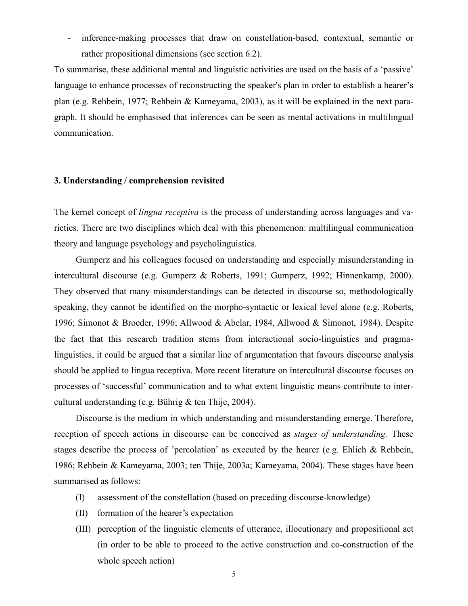- inference-making processes that draw on constellation-based, contextual, semantic or rather propositional dimensions (see section 6.2).

To summarise, these additional mental and linguistic activities are used on the basis of a 'passive' language to enhance processes of reconstructing the speaker's plan in order to establish a hearer's plan (e.g. Rehbein, 1977; Rehbein & Kameyama, 2003), as it will be explained in the next paragraph. It should be emphasised that inferences can be seen as mental activations in multilingual communication.

# 3. Understanding / comprehension revisited

The kernel concept of *lingua receptiva* is the process of understanding across languages and varieties. There are two disciplines which deal with this phenomenon: multilingual communication theory and language psychology and psycholinguistics.

Gumperz and his colleagues focused on understanding and especially misunderstanding in intercultural discourse (e.g. Gumperz & Roberts, 1991; Gumperz, 1992; Hinnenkamp, 2000). They observed that many misunderstandings can be detected in discourse so, methodologically speaking, they cannot be identified on the morpho-syntactic or lexical level alone (e.g. Roberts, 1996; Simonot & Broeder, 1996; Allwood & Abelar, 1984, Allwood & Simonot, 1984). Despite the fact that this research tradition stems from interactional socio-linguistics and pragmalinguistics, it could be argued that a similar line of argumentation that favours discourse analysis should be applied to lingua receptiva. More recent literature on intercultural discourse focuses on processes of 'successful' communication and to what extent linguistic means contribute to intercultural understanding (e.g. Bührig & ten Thije, 2004).

Discourse is the medium in which understanding and misunderstanding emerge. Therefore, reception of speech actions in discourse can be conceived as *stages of understanding*. These stages describe the process of 'percolation' as executed by the hearer (e.g. Ehlich & Rehbein, 1986; Rehbein & Kameyama, 2003; ten Thije, 2003a; Kameyama, 2004). These stages have been summarised as follows:

- (I) assessment of the constellation (based on preceding discourse-knowledge)
- (II) formation of the hearer's expectation
- (III) perception of the linguistic elements of utterance, illocutionary and propositional act (in order to be able to proceed to the active construction and co-construction of the whole speech action)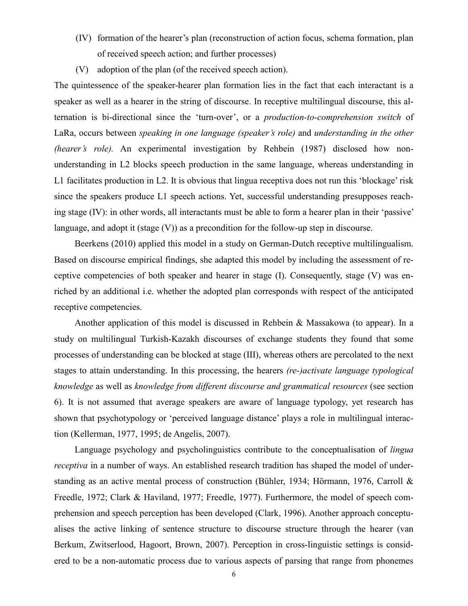- (IV) formation of the hearer's plan (reconstruction of action focus, schema formation, plan of received speech action; and further processes)
- (V) adoption of the plan (of the received speech action).

The quintessence of the speaker-hearer plan formation lies in the fact that each interactant is a speaker as well as a hearer in the string of discourse. In receptive multilingual discourse, this alternation is bi-directional since the 'turn-over', or a production-to-comprehension switch of LaRa, occurs between speaking in one language (speaker's role) and understanding in the other (hearer's role). An experimental investigation by Rehbein (1987) disclosed how nonunderstanding in L2 blocks speech production in the same language, whereas understanding in L1 facilitates production in L2. It is obvious that lingua receptiva does not run this 'blockage' risk since the speakers produce L1 speech actions. Yet, successful understanding presupposes reaching stage (IV): in other words, all interactants must be able to form a hearer plan in their 'passive' language, and adopt it (stage (V)) as a precondition for the follow-up step in discourse.

Beerkens (2010) applied this model in a study on German-Dutch receptive multilingualism. Based on discourse empirical findings, she adapted this model by including the assessment of receptive competencies of both speaker and hearer in stage (I). Consequently, stage (V) was enriched by an additional i.e. whether the adopted plan corresponds with respect of the anticipated receptive competencies.

Another application of this model is discussed in Rehbein & Massakowa (to appear). In a study on multilingual Turkish-Kazakh discourses of exchange students they found that some processes of understanding can be blocked at stage (III), whereas others are percolated to the next stages to attain understanding. In this processing, the hearers (re-)activate language typological knowledge as well as knowledge from different discourse and grammatical resources (see section 6). It is not assumed that average speakers are aware of language typology, yet research has shown that psychotypology or 'perceived language distance' plays a role in multilingual interaction (Kellerman, 1977, 1995; de Angelis, 2007).

Language psychology and psycholinguistics contribute to the conceptualisation of lingua receptiva in a number of ways. An established research tradition has shaped the model of understanding as an active mental process of construction (Bühler, 1934; Hörmann, 1976, Carroll & Freedle, 1972; Clark & Haviland, 1977; Freedle, 1977). Furthermore, the model of speech comprehension and speech perception has been developed (Clark, 1996). Another approach conceptualises the active linking of sentence structure to discourse structure through the hearer (van Berkum, Zwitserlood, Hagoort, Brown, 2007). Perception in cross-linguistic settings is considered to be a non-automatic process due to various aspects of parsing that range from phonemes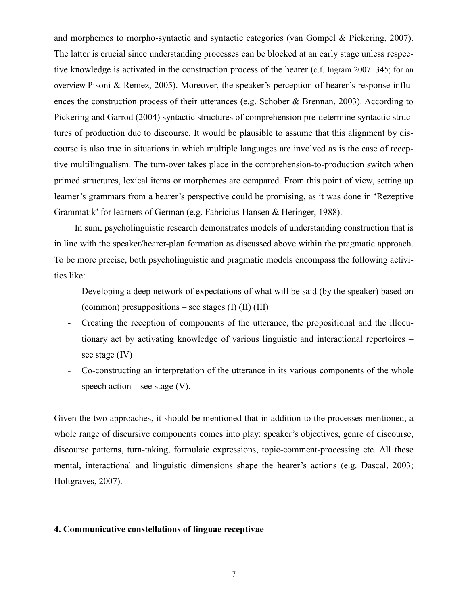and morphemes to morpho-syntactic and syntactic categories (van Gompel & Pickering, 2007). The latter is crucial since understanding processes can be blocked at an early stage unless respective knowledge is activated in the construction process of the hearer (c.f. Ingram 2007: 345; for an overview Pisoni & Remez, 2005). Moreover, the speaker's perception of hearer's response influences the construction process of their utterances (e.g. Schober & Brennan, 2003). According to Pickering and Garrod (2004) syntactic structures of comprehension pre-determine syntactic structures of production due to discourse. It would be plausible to assume that this alignment by discourse is also true in situations in which multiple languages are involved as is the case of receptive multilingualism. The turn-over takes place in the comprehension-to-production switch when primed structures, lexical items or morphemes are compared. From this point of view, setting up learner's grammars from a hearer's perspective could be promising, as it was done in 'Rezeptive Grammatik' for learners of German (e.g. Fabricius-Hansen & Heringer, 1988).

In sum, psycholinguistic research demonstrates models of understanding construction that is in line with the speaker/hearer-plan formation as discussed above within the pragmatic approach. To be more precise, both psycholinguistic and pragmatic models encompass the following activities like:

- Developing a deep network of expectations of what will be said (by the speaker) based on (common) presuppositions – see stages  $(I)$   $(II)$   $(III)$
- Creating the reception of components of the utterance, the propositional and the illocutionary act by activating knowledge of various linguistic and interactional repertoires – see stage (IV)
- Co-constructing an interpretation of the utterance in its various components of the whole speech action – see stage  $(V)$ .

Given the two approaches, it should be mentioned that in addition to the processes mentioned, a whole range of discursive components comes into play: speaker's objectives, genre of discourse, discourse patterns, turn-taking, formulaic expressions, topic-comment-processing etc. All these mental, interactional and linguistic dimensions shape the hearer's actions (e.g. Dascal, 2003; Holtgraves, 2007).

#### 4. Communicative constellations of linguae receptivae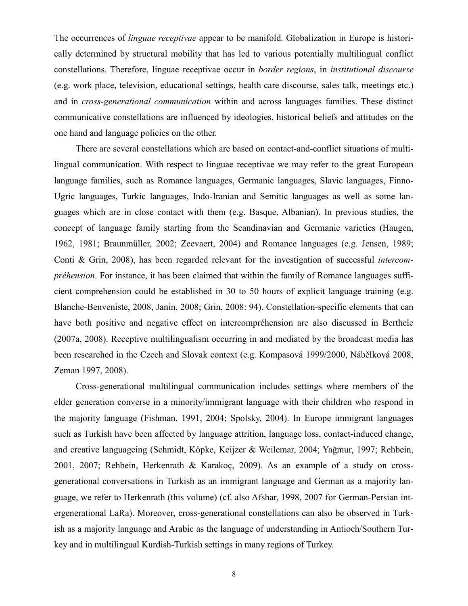The occurrences of linguae receptivae appear to be manifold. Globalization in Europe is historically determined by structural mobility that has led to various potentially multilingual conflict constellations. Therefore, linguae receptivae occur in border regions, in institutional discourse (e.g. work place, television, educational settings, health care discourse, sales talk, meetings etc.) and in cross-generational communication within and across languages families. These distinct communicative constellations are influenced by ideologies, historical beliefs and attitudes on the one hand and language policies on the other.

There are several constellations which are based on contact-and-conflict situations of multilingual communication. With respect to linguae receptivae we may refer to the great European language families, such as Romance languages, Germanic languages, Slavic languages, Finno-Ugric languages, Turkic languages, Indo-Iranian and Semitic languages as well as some languages which are in close contact with them (e.g. Basque, Albanian). In previous studies, the concept of language family starting from the Scandinavian and Germanic varieties (Haugen, 1962, 1981; Braunmüller, 2002; Zeevaert, 2004) and Romance languages (e.g. Jensen, 1989; Conti & Grin, 2008), has been regarded relevant for the investigation of successful intercompréhension. For instance, it has been claimed that within the family of Romance languages sufficient comprehension could be established in 30 to 50 hours of explicit language training (e.g. Blanche-Benveniste, 2008, Janin, 2008; Grin, 2008: 94). Constellation-specific elements that can have both positive and negative effect on intercompréhension are also discussed in Berthele (2007a, 2008). Receptive multilingualism occurring in and mediated by the broadcast media has been researched in the Czech and Slovak context (e.g. Kompasová 1999/2000, Nábělková 2008, Zeman 1997, 2008).

Cross-generational multilingual communication includes settings where members of the elder generation converse in a minority/immigrant language with their children who respond in the majority language (Fishman, 1991, 2004; Spolsky, 2004). In Europe immigrant languages such as Turkish have been affected by language attrition, language loss, contact-induced change, and creative languageing (Schmidt, Köpke, Keijzer & Weilemar, 2004; Yağmur, 1997; Rehbein, 2001, 2007; Rehbein, Herkenrath & Karakoç, 2009). As an example of a study on crossgenerational conversations in Turkish as an immigrant language and German as a majority language, we refer to Herkenrath (this volume) (cf. also Afshar, 1998, 2007 for German-Persian intergenerational LaRa). Moreover, cross-generational constellations can also be observed in Turkish as a majority language and Arabic as the language of understanding in Antioch/Southern Turkey and in multilingual Kurdish-Turkish settings in many regions of Turkey.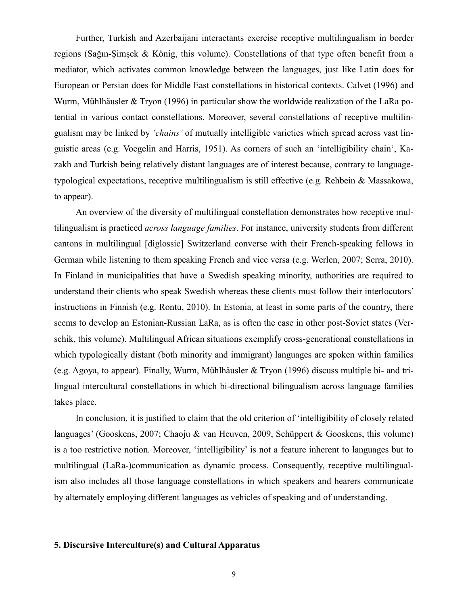Further, Turkish and Azerbaijani interactants exercise receptive multilingualism in border regions (Sağın-Şimşek & König, this volume). Constellations of that type often benefit from a mediator, which activates common knowledge between the languages, just like Latin does for European or Persian does for Middle East constellations in historical contexts. Calvet (1996) and Wurm, Mühlhäusler & Tryon (1996) in particular show the worldwide realization of the LaRa potential in various contact constellations. Moreover, several constellations of receptive multilingualism may be linked by 'chains' of mutually intelligible varieties which spread across vast linguistic areas (e.g. Voegelin and Harris, 1951). As corners of such an 'intelligibility chain', Kazakh and Turkish being relatively distant languages are of interest because, contrary to languagetypological expectations, receptive multilingualism is still effective (e.g. Rehbein & Massakowa, to appear).

An overview of the diversity of multilingual constellation demonstrates how receptive multilingualism is practiced *across language families*. For instance, university students from different cantons in multilingual [diglossic] Switzerland converse with their French-speaking fellows in German while listening to them speaking French and vice versa (e.g. Werlen, 2007; Serra, 2010). In Finland in municipalities that have a Swedish speaking minority, authorities are required to understand their clients who speak Swedish whereas these clients must follow their interlocutors' instructions in Finnish (e.g. Rontu, 2010). In Estonia, at least in some parts of the country, there seems to develop an Estonian-Russian LaRa, as is often the case in other post-Soviet states (Verschik, this volume). Multilingual African situations exemplify cross-generational constellations in which typologically distant (both minority and immigrant) languages are spoken within families (e.g. Agoya, to appear). Finally, Wurm, Mühlhäusler & Tryon (1996) discuss multiple bi- and trilingual intercultural constellations in which bi-directional bilingualism across language families takes place.

In conclusion, it is justified to claim that the old criterion of 'intelligibility of closely related languages' (Gooskens, 2007; Chaoju & van Heuven, 2009, Schüppert & Gooskens, this volume) is a too restrictive notion. Moreover, 'intelligibility' is not a feature inherent to languages but to multilingual (LaRa-)communication as dynamic process. Consequently, receptive multilingualism also includes all those language constellations in which speakers and hearers communicate by alternately employing different languages as vehicles of speaking and of understanding.

# 5. Discursive Interculture(s) and Cultural Apparatus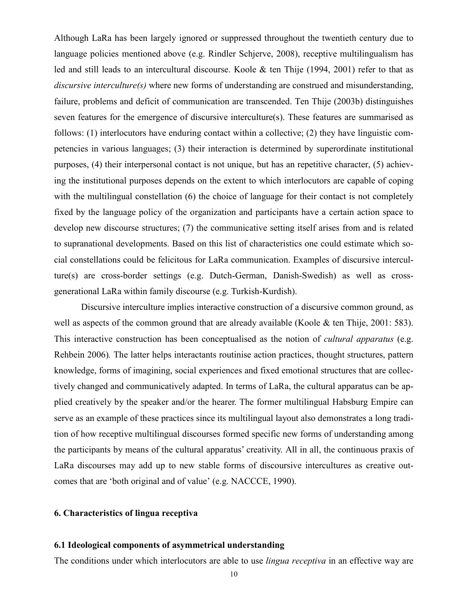Although LaRa has been largely ignored or suppressed throughout the twentieth century due to language policies mentioned above (e.g. Rindler Schjerve, 2008), receptive multilingualism has led and still leads to an intercultural discourse. Koole & ten Thije (1994, 2001) refer to that as discursive interculture(s) where new forms of understanding are construed and misunderstanding, failure, problems and deficit of communication are transcended. Ten Thije (2003b) distinguishes seven features for the emergence of discursive interculture(s). These features are summarised as follows: (1) interlocutors have enduring contact within a collective; (2) they have linguistic competencies in various languages; (3) their interaction is determined by superordinate institutional purposes, (4) their interpersonal contact is not unique, but has an repetitive character, (5) achieving the institutional purposes depends on the extent to which interlocutors are capable of coping with the multilingual constellation (6) the choice of language for their contact is not completely fixed by the language policy of the organization and participants have a certain action space to develop new discourse structures; (7) the communicative setting itself arises from and is related to supranational developments. Based on this list of characteristics one could estimate which social constellations could be felicitous for LaRa communication. Examples of discursive interculture(s) are cross-border settings (e.g. Dutch-German, Danish-Swedish) as well as crossgenerational LaRa within family discourse (e.g. Turkish-Kurdish).

 Discursive interculture implies interactive construction of a discursive common ground, as well as aspects of the common ground that are already available (Koole & ten Thije, 2001: 583). This interactive construction has been conceptualised as the notion of *cultural apparatus* (e.g. Rehbein 2006). The latter helps interactants routinise action practices, thought structures, pattern knowledge, forms of imagining, social experiences and fixed emotional structures that are collectively changed and communicatively adapted. In terms of LaRa, the cultural apparatus can be applied creatively by the speaker and/or the hearer. The former multilingual Habsburg Empire can serve as an example of these practices since its multilingual layout also demonstrates a long tradition of how receptive multilingual discourses formed specific new forms of understanding among the participants by means of the cultural apparatus' creativity. All in all, the continuous praxis of LaRa discourses may add up to new stable forms of discoursive intercultures as creative outcomes that are 'both original and of value' (e.g. NACCCE, 1990).

# 6. Characteristics of lingua receptiva

## 6.1 Ideological components of asymmetrical understanding

The conditions under which interlocutors are able to use *lingua receptiva* in an effective way are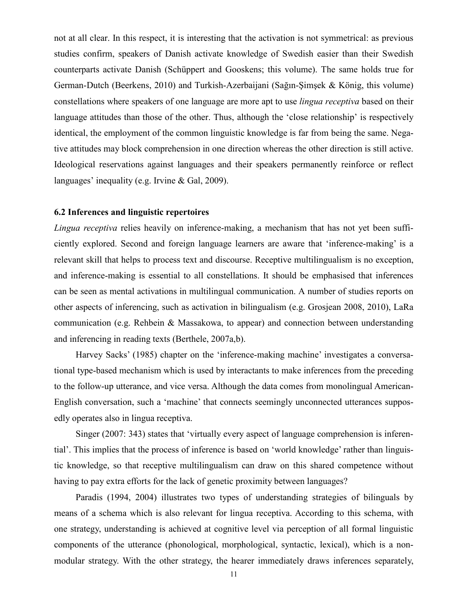not at all clear. In this respect, it is interesting that the activation is not symmetrical: as previous studies confirm, speakers of Danish activate knowledge of Swedish easier than their Swedish counterparts activate Danish (Schüppert and Gooskens; this volume). The same holds true for German-Dutch (Beerkens, 2010) and Turkish-Azerbaijani (Sağın-Şimşek & König, this volume) constellations where speakers of one language are more apt to use *lingua receptiva* based on their language attitudes than those of the other. Thus, although the 'close relationship' is respectively identical, the employment of the common linguistic knowledge is far from being the same. Negative attitudes may block comprehension in one direction whereas the other direction is still active. Ideological reservations against languages and their speakers permanently reinforce or reflect languages' inequality (e.g. Irvine & Gal, 2009).

## 6.2 Inferences and linguistic repertoires

Lingua receptiva relies heavily on inference-making, a mechanism that has not yet been sufficiently explored. Second and foreign language learners are aware that 'inference-making' is a relevant skill that helps to process text and discourse. Receptive multilingualism is no exception, and inference-making is essential to all constellations. It should be emphasised that inferences can be seen as mental activations in multilingual communication. A number of studies reports on other aspects of inferencing, such as activation in bilingualism (e.g. Grosjean 2008, 2010), LaRa communication (e.g. Rehbein & Massakowa, to appear) and connection between understanding and inferencing in reading texts (Berthele, 2007a,b).

Harvey Sacks' (1985) chapter on the 'inference-making machine' investigates a conversational type-based mechanism which is used by interactants to make inferences from the preceding to the follow-up utterance, and vice versa. Although the data comes from monolingual American-English conversation, such a 'machine' that connects seemingly unconnected utterances supposedly operates also in lingua receptiva.

Singer (2007: 343) states that 'virtually every aspect of language comprehension is inferential'. This implies that the process of inference is based on 'world knowledge' rather than linguistic knowledge, so that receptive multilingualism can draw on this shared competence without having to pay extra efforts for the lack of genetic proximity between languages?

Paradis (1994, 2004) illustrates two types of understanding strategies of bilinguals by means of a schema which is also relevant for lingua receptiva. According to this schema, with one strategy, understanding is achieved at cognitive level via perception of all formal linguistic components of the utterance (phonological, morphological, syntactic, lexical), which is a nonmodular strategy. With the other strategy, the hearer immediately draws inferences separately,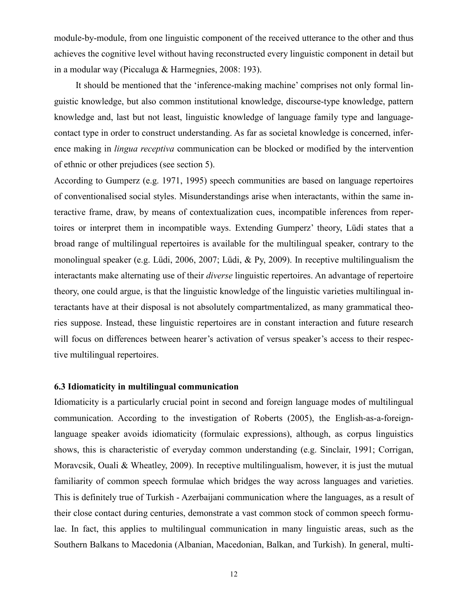module-by-module, from one linguistic component of the received utterance to the other and thus achieves the cognitive level without having reconstructed every linguistic component in detail but in a modular way (Piccaluga & Harmegnies, 2008: 193).

It should be mentioned that the 'inference-making machine' comprises not only formal linguistic knowledge, but also common institutional knowledge, discourse-type knowledge, pattern knowledge and, last but not least, linguistic knowledge of language family type and languagecontact type in order to construct understanding. As far as societal knowledge is concerned, inference making in lingua receptiva communication can be blocked or modified by the intervention of ethnic or other prejudices (see section 5).

According to Gumperz (e.g. 1971, 1995) speech communities are based on language repertoires of conventionalised social styles. Misunderstandings arise when interactants, within the same interactive frame, draw, by means of contextualization cues, incompatible inferences from repertoires or interpret them in incompatible ways. Extending Gumperz' theory, Lüdi states that a broad range of multilingual repertoires is available for the multilingual speaker, contrary to the monolingual speaker (e.g. Lüdi, 2006, 2007; Lüdi, & Py, 2009). In receptive multilingualism the interactants make alternating use of their diverse linguistic repertoires. An advantage of repertoire theory, one could argue, is that the linguistic knowledge of the linguistic varieties multilingual interactants have at their disposal is not absolutely compartmentalized, as many grammatical theories suppose. Instead, these linguistic repertoires are in constant interaction and future research will focus on differences between hearer's activation of versus speaker's access to their respective multilingual repertoires.

# 6.3 Idiomaticity in multilingual communication

Idiomaticity is a particularly crucial point in second and foreign language modes of multilingual communication. According to the investigation of Roberts (2005), the English-as-a-foreignlanguage speaker avoids idiomaticity (formulaic expressions), although, as corpus linguistics shows, this is characteristic of everyday common understanding (e.g. Sinclair, 1991; Corrigan, Moravcsik, Ouali & Wheatley, 2009). In receptive multilingualism, however, it is just the mutual familiarity of common speech formulae which bridges the way across languages and varieties. This is definitely true of Turkish - Azerbaijani communication where the languages, as a result of their close contact during centuries, demonstrate a vast common stock of common speech formulae. In fact, this applies to multilingual communication in many linguistic areas, such as the Southern Balkans to Macedonia (Albanian, Macedonian, Balkan, and Turkish). In general, multi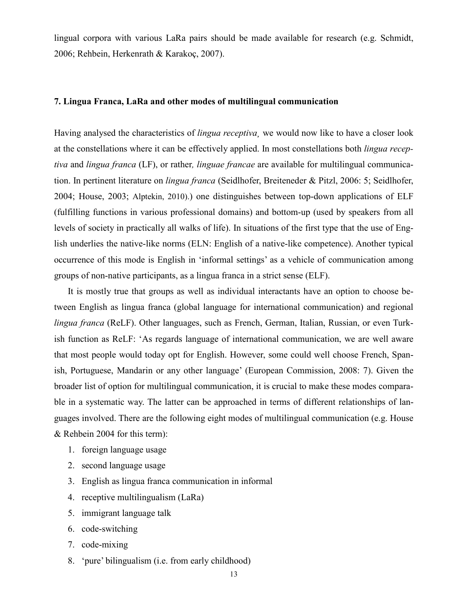lingual corpora with various LaRa pairs should be made available for research (e.g. Schmidt, 2006; Rehbein, Herkenrath & Karakoç, 2007).

# 7. Lingua Franca, LaRa and other modes of multilingual communication

Having analysed the characteristics of *lingua receptiva*, we would now like to have a closer look at the constellations where it can be effectively applied. In most constellations both lingua receptiva and lingua franca (LF), or rather, linguae francae are available for multilingual communication. In pertinent literature on lingua franca (Seidlhofer, Breiteneder & Pitzl, 2006: 5; Seidlhofer, 2004; House, 2003; Alptekin, 2010).) one distinguishes between top-down applications of ELF (fulfilling functions in various professional domains) and bottom-up (used by speakers from all levels of society in practically all walks of life). In situations of the first type that the use of English underlies the native-like norms (ELN: English of a native-like competence). Another typical occurrence of this mode is English in 'informal settings' as a vehicle of communication among groups of non-native participants, as a lingua franca in a strict sense (ELF).

It is mostly true that groups as well as individual interactants have an option to choose between English as lingua franca (global language for international communication) and regional lingua franca (ReLF). Other languages, such as French, German, Italian, Russian, or even Turkish function as ReLF: 'As regards language of international communication, we are well aware that most people would today opt for English. However, some could well choose French, Spanish, Portuguese, Mandarin or any other language' (European Commission, 2008: 7). Given the broader list of option for multilingual communication, it is crucial to make these modes comparable in a systematic way. The latter can be approached in terms of different relationships of languages involved. There are the following eight modes of multilingual communication (e.g. House & Rehbein 2004 for this term):

- 1. foreign language usage
- 2. second language usage
- 3. English as lingua franca communication in informal
- 4. receptive multilingualism (LaRa)
- 5. immigrant language talk
- 6. code-switching
- 7. code-mixing
- 8. 'pure' bilingualism (i.e. from early childhood)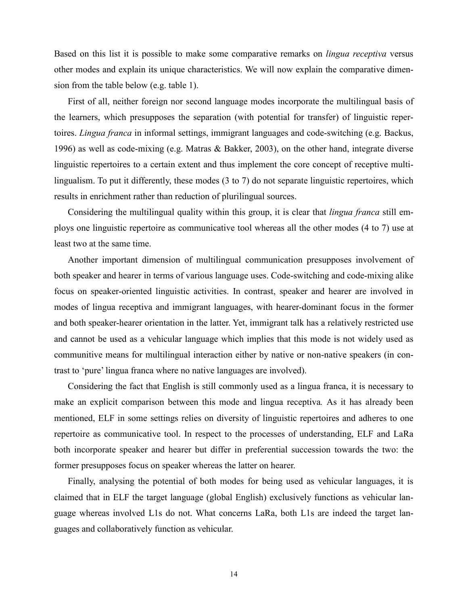Based on this list it is possible to make some comparative remarks on *lingua receptiva* versus other modes and explain its unique characteristics. We will now explain the comparative dimension from the table below (e.g. table 1).

First of all, neither foreign nor second language modes incorporate the multilingual basis of the learners, which presupposes the separation (with potential for transfer) of linguistic repertoires. Lingua franca in informal settings, immigrant languages and code-switching (e.g. Backus, 1996) as well as code-mixing (e.g. Matras & Bakker, 2003), on the other hand, integrate diverse linguistic repertoires to a certain extent and thus implement the core concept of receptive multilingualism. To put it differently, these modes (3 to 7) do not separate linguistic repertoires, which results in enrichment rather than reduction of plurilingual sources.

Considering the multilingual quality within this group, it is clear that *lingua franca* still employs one linguistic repertoire as communicative tool whereas all the other modes (4 to 7) use at least two at the same time.

Another important dimension of multilingual communication presupposes involvement of both speaker and hearer in terms of various language uses. Code-switching and code-mixing alike focus on speaker-oriented linguistic activities. In contrast, speaker and hearer are involved in modes of lingua receptiva and immigrant languages, with hearer-dominant focus in the former and both speaker-hearer orientation in the latter. Yet, immigrant talk has a relatively restricted use and cannot be used as a vehicular language which implies that this mode is not widely used as communitive means for multilingual interaction either by native or non-native speakers (in contrast to 'pure' lingua franca where no native languages are involved).

Considering the fact that English is still commonly used as a lingua franca, it is necessary to make an explicit comparison between this mode and lingua receptiva. As it has already been mentioned, ELF in some settings relies on diversity of linguistic repertoires and adheres to one repertoire as communicative tool. In respect to the processes of understanding, ELF and LaRa both incorporate speaker and hearer but differ in preferential succession towards the two: the former presupposes focus on speaker whereas the latter on hearer.

Finally, analysing the potential of both modes for being used as vehicular languages, it is claimed that in ELF the target language (global English) exclusively functions as vehicular language whereas involved L1s do not. What concerns LaRa, both L1s are indeed the target languages and collaboratively function as vehicular.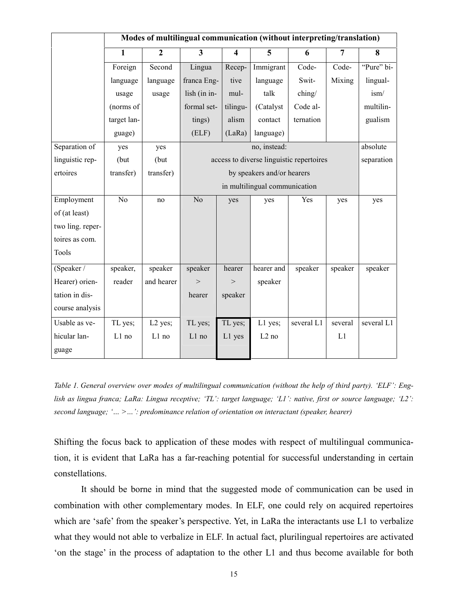|                  | Modes of multilingual communication (without interpreting/translation) |                |                                          |                         |                   |                 |                |            |
|------------------|------------------------------------------------------------------------|----------------|------------------------------------------|-------------------------|-------------------|-----------------|----------------|------------|
|                  | $\mathbf{1}$                                                           | $\overline{2}$ | $\overline{\mathbf{3}}$                  | $\overline{\mathbf{4}}$ | 5                 | 6               | $\overline{7}$ | 8          |
|                  | Foreign                                                                | Second         | Lingua                                   | Recep-                  | Immigrant         | Code-           | Code-          | "Pure" bi- |
|                  | language                                                               | language       | franca Eng-                              | tive                    | language          | Swit-           | Mixing         | lingual-   |
|                  | usage                                                                  | usage          | lish (in in-                             | mul-                    | talk              | $\text{ching}/$ |                | ism/       |
|                  | (norms of                                                              |                | formal set-                              | tilingu-                | (Catalyst)        | Code al-        |                | multilin-  |
|                  | target lan-                                                            |                | tings)                                   | alism                   | contact           | ternation       |                | gualism    |
|                  | guage)                                                                 |                | (ELF)                                    | (LaRa)                  | language)         |                 |                |            |
| Separation of    | yes                                                                    | yes            | no, instead:                             |                         |                   |                 |                | absolute   |
| linguistic rep-  | (but                                                                   | (but           | access to diverse linguistic repertoires |                         |                   |                 |                | separation |
| ertoires         | transfer)                                                              | transfer)      | by speakers and/or hearers               |                         |                   |                 |                |            |
|                  |                                                                        |                | in multilingual communication            |                         |                   |                 |                |            |
| Employment       | $\overline{No}$                                                        | no             | $\overline{No}$                          | yes                     | yes               | Yes             | yes            | yes        |
| of (at least)    |                                                                        |                |                                          |                         |                   |                 |                |            |
| two ling. reper- |                                                                        |                |                                          |                         |                   |                 |                |            |
| toires as com.   |                                                                        |                |                                          |                         |                   |                 |                |            |
| Tools            |                                                                        |                |                                          |                         |                   |                 |                |            |
| (Speaker /       | speaker,                                                               | speaker        | speaker                                  | hearer                  | hearer and        | speaker         | speaker        | speaker    |
| Hearer) orien-   | reader                                                                 | and hearer     | >                                        | $\,>$                   | speaker           |                 |                |            |
| tation in dis-   |                                                                        |                | hearer                                   | speaker                 |                   |                 |                |            |
| course analysis  |                                                                        |                |                                          |                         |                   |                 |                |            |
| Usable as ve-    | TL yes;                                                                | $L2$ yes;      | TL yes;                                  | TL yes;                 | L1 yes;           | several L1      | several        | several L1 |
| hicular lan-     | L1 no                                                                  | L1 no          | $L1$ no                                  | L1 yes                  | L <sub>2</sub> no |                 | L1             |            |
| guage            |                                                                        |                |                                          |                         |                   |                 |                |            |

Table 1. General overview over modes of multilingual communication (without the help of third party). 'ELF': English as lingua franca; LaRa: Lingua receptive; 'TL': target language; 'L1': native, first or source language; 'L2': second language; '... > ... ': predominance relation of orientation on interactant (speaker, hearer)

Shifting the focus back to application of these modes with respect of multilingual communication, it is evident that LaRa has a far-reaching potential for successful understanding in certain constellations.

 It should be borne in mind that the suggested mode of communication can be used in combination with other complementary modes. In ELF, one could rely on acquired repertoires which are 'safe' from the speaker's perspective. Yet, in LaRa the interactants use L1 to verbalize what they would not able to verbalize in ELF. In actual fact, plurilingual repertoires are activated 'on the stage' in the process of adaptation to the other L1 and thus become available for both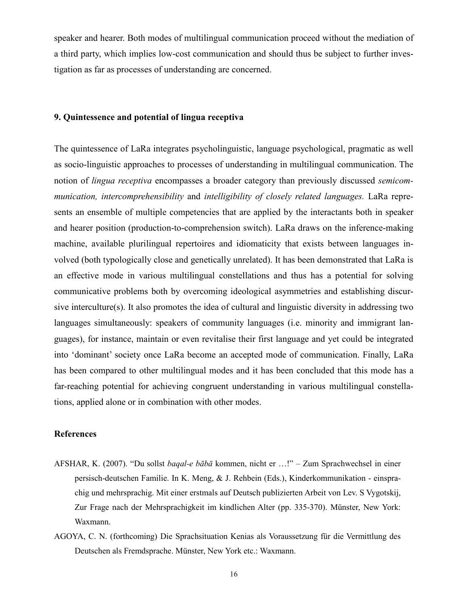speaker and hearer. Both modes of multilingual communication proceed without the mediation of a third party, which implies low-cost communication and should thus be subject to further investigation as far as processes of understanding are concerned.

# 9. Quintessence and potential of lingua receptiva

The quintessence of LaRa integrates psycholinguistic, language psychological, pragmatic as well as socio-linguistic approaches to processes of understanding in multilingual communication. The notion of *lingua receptiva* encompasses a broader category than previously discussed *semicom*munication, intercomprehensibility and intelligibility of closely related languages. LaRa represents an ensemble of multiple competencies that are applied by the interactants both in speaker and hearer position (production-to-comprehension switch). LaRa draws on the inference-making machine, available plurilingual repertoires and idiomaticity that exists between languages involved (both typologically close and genetically unrelated). It has been demonstrated that LaRa is an effective mode in various multilingual constellations and thus has a potential for solving communicative problems both by overcoming ideological asymmetries and establishing discursive interculture(s). It also promotes the idea of cultural and linguistic diversity in addressing two languages simultaneously: speakers of community languages (i.e. minority and immigrant languages), for instance, maintain or even revitalise their first language and yet could be integrated into 'dominant' society once LaRa become an accepted mode of communication. Finally, LaRa has been compared to other multilingual modes and it has been concluded that this mode has a far-reaching potential for achieving congruent understanding in various multilingual constellations, applied alone or in combination with other modes.

### References

- AFSHAR, K. (2007). "Du sollst baqal-e bābā kommen, nicht er …!" Zum Sprachwechsel in einer persisch-deutschen Familie. In K. Meng, & J. Rehbein (Eds.), Kinderkommunikation - einsprachig und mehrsprachig. Mit einer erstmals auf Deutsch publizierten Arbeit von Lev. S Vygotskij, Zur Frage nach der Mehrsprachigkeit im kindlichen Alter (pp. 335-370). Münster, New York: Waxmann.
- AGOYA, C. N. (forthcoming) Die Sprachsituation Kenias als Voraussetzung für die Vermittlung des Deutschen als Fremdsprache. Münster, New York etc.: Waxmann.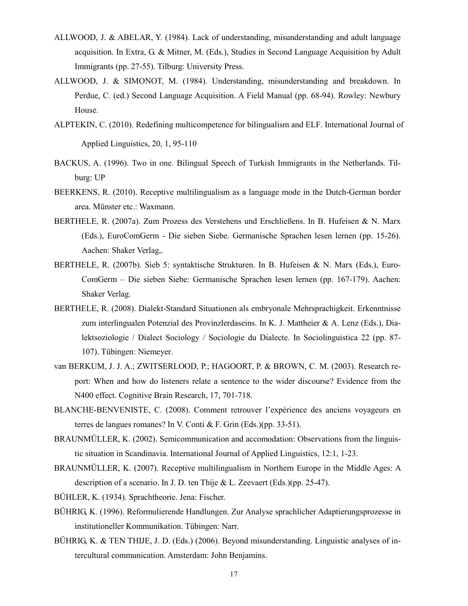- ALLWOOD, J. & ABELAR, Y. (1984). Lack of understanding, misunderstanding and adult language acquisition. In Extra, G. & Mitner, M. (Eds.), Studies in Second Language Acquisition by Adult Immigrants (pp. 27-55). Tilburg: University Press.
- ALLWOOD, J. & SIMONOT, M. (1984). Understanding, misunderstanding and breakdown. In Perdue, C. (ed.) Second Language Acquisition. A Field Manual (pp. 68-94). Rowley: Newbury House.
- ALPTEKIN, C. (2010). Redefining multicompetence for bilingualism and ELF. International Journal of Applied Linguistics, 20, 1, 95-110
- BACKUS, A. (1996). Two in one. Bilingual Speech of Turkish Immigrants in the Netherlands. Tilburg: UP
- BEERKENS, R. (2010). Receptive multilingualism as a language mode in the Dutch-German border area. Münster etc.: Waxmann.
- BERTHELE, R. (2007a). Zum Prozess des Verstehens und Erschließens. In B. Hufeisen & N. Marx (Eds.), EuroComGerm - Die sieben Siebe. Germanische Sprachen lesen lernen (pp. 15-26). Aachen: Shaker Verlag,.
- BERTHELE, R. (2007b). Sieb 5: syntaktische Strukturen. In B. Hufeisen & N. Marx (Eds.), Euro-ComGerm – Die sieben Siebe: Germanische Sprachen lesen lernen (pp. 167-179). Aachen: Shaker Verlag.
- BERTHELE, R. (2008). Dialekt-Standard Situationen als embryonale Mehrsprachigkeit. Erkenntnisse zum interlingualen Potenzial des Provinzlerdaseins. In K. J. Mattheier & A. Lenz (Eds.), Dialektsoziologie / Dialect Sociology / Sociologie du Dialecte. In Sociolinguistica 22 (pp. 87- 107). Tübingen: Niemeyer.
- van BERKUM, J. J. A.; ZWITSERLOOD, P.; HAGOORT, P. & BROWN, C. M. (2003). Research report: When and how do listeners relate a sentence to the wider discourse? Evidence from the N400 effect. Cognitive Brain Research, 17, 701-718.
- BLANCHE-BENVENISTE, C. (2008). Comment retrouver l'expérience des anciens voyageurs en terres de langues romanes? In V. Conti & F. Grin (Eds.)(pp. 33-51).
- BRAUNMÜLLER, K. (2002). Semicommunication and accomodation: Observations from the linguistic situation in Scandinavia. International Journal of Applied Linguistics, 12:1, 1-23.
- BRAUNMÜLLER, K. (2007). Receptive multilingualism in Northern Europe in the Middle Ages: A description of a scenario. In J. D. ten Thije & L. Zeevaert (Eds.)(pp. 25-47).
- BÜHLER, K. (1934). Sprachtheorie. Jena: Fischer.
- BÜHRIG, K. (1996). Reformulierende Handlungen. Zur Analyse sprachlicher Adaptierungsprozesse in institutioneller Kommunikation. Tübingen: Narr.
- BÜHRIG, K. & TEN THIJE, J. D. (Eds.) (2006). Beyond misunderstanding. Linguistic analyses of intercultural communication. Amsterdam: John Benjamins.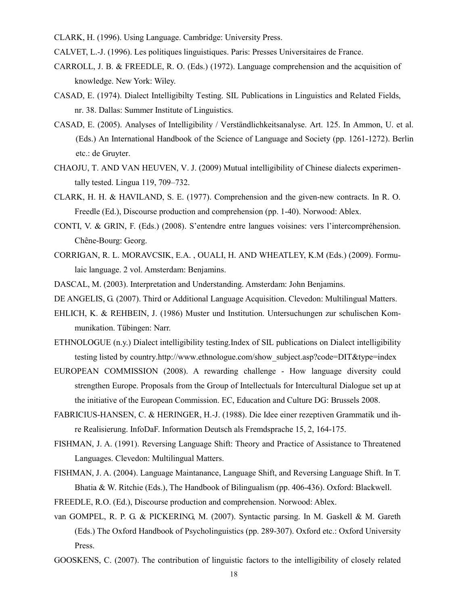- CLARK, H. (1996). Using Language. Cambridge: University Press.
- CALVET, L.-J. (1996). Les politiques linguistiques. Paris: Presses Universitaires de France.
- CARROLL, J. B. & FREEDLE, R. O. (Eds.) (1972). Language comprehension and the acquisition of knowledge. New York: Wiley.
- CASAD, E. (1974). Dialect Intelligibilty Testing. SIL Publications in Linguistics and Related Fields, nr. 38. Dallas: Summer Institute of Linguistics.
- CASAD, E. (2005). Analyses of Intelligibility / Verständlichkeitsanalyse. Art. 125. In Ammon, U. et al. (Eds.) An International Handbook of the Science of Language and Society (pp. 1261-1272). Berlin etc.: de Gruyter.
- CHAOJU, T. AND VAN HEUVEN, V. J. (2009) Mutual intelligibility of Chinese dialects experimentally tested. Lingua 119, 709–732.
- CLARK, H. H. & HAVILAND, S. E. (1977). Comprehension and the given-new contracts. In R. O. Freedle (Ed.), Discourse production and comprehension (pp. 1-40). Norwood: Ablex.
- CONTI, V. & GRIN, F. (Eds.) (2008). S'entendre entre langues voisines: vers l'intercompréhension. Chêne-Bourg: Georg.
- CORRIGAN, R. L. MORAVCSIK, E.A. , OUALI, H. AND WHEATLEY, K.M (Eds.) (2009). Formulaic language. 2 vol. Amsterdam: Benjamins.
- DASCAL, M. (2003). Interpretation and Understanding. Amsterdam: John Benjamins.
- DE ANGELIS, G. (2007). Third or Additional Language Acquisition. Clevedon: Multilingual Matters.
- EHLICH, K. & REHBEIN, J. (1986) Muster und Institution. Untersuchungen zur schulischen Kommunikation. Tübingen: Narr.
- ETHNOLOGUE (n.y.) Dialect intelligibility testing.Index of SIL publications on Dialect intelligibility testing listed by country.http://www.ethnologue.com/show\_subject.asp?code=DIT&type=index
- EUROPEAN COMMISSION (2008). A rewarding challenge How language diversity could strengthen Europe. Proposals from the Group of Intellectuals for Intercultural Dialogue set up at the initiative of the European Commission. EC, Education and Culture DG: Brussels 2008.
- FABRICIUS-HANSEN, C. & HERINGER, H.-J. (1988). Die Idee einer rezeptiven Grammatik und ihre Realisierung. InfoDaF. Information Deutsch als Fremdsprache 15, 2, 164-175.
- FISHMAN, J. A. (1991). Reversing Language Shift: Theory and Practice of Assistance to Threatened Languages. Clevedon: Multilingual Matters.
- FISHMAN, J. A. (2004). Language Maintanance, Language Shift, and Reversing Language Shift. In T. Bhatia & W. Ritchie (Eds.), The Handbook of Bilingualism (pp. 406-436). Oxford: Blackwell.
- FREEDLE, R.O. (Ed.), Discourse production and comprehension. Norwood: Ablex.
- van GOMPEL, R. P. G. & PICKERING, M. (2007). Syntactic parsing. In M. Gaskell & M. Gareth (Eds.) The Oxford Handbook of Psycholinguistics (pp. 289-307). Oxford etc.: Oxford University Press.
- GOOSKENS, C. (2007). The contribution of linguistic factors to the intelligibility of closely related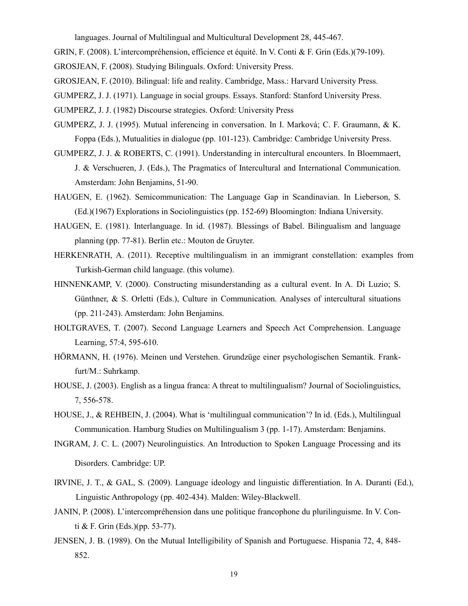languages. Journal of Multilingual and Multicultural Development 28, 445-467.

GRIN, F. (2008). L'intercompréhension, efficience et équité. In V. Conti & F. Grin (Eds.)(79-109).

GROSJEAN, F. (2008). Studying Bilinguals. Oxford: University Press.

- GROSJEAN, F. (2010). Bilingual: life and reality. Cambridge, Mass.: Harvard University Press.
- GUMPERZ, J. J. (1971). Language in social groups. Essays. Stanford: Stanford University Press.
- GUMPERZ, J. J. (1982) Discourse strategies. Oxford: University Press
- GUMPERZ, J. J. (1995). Mutual inferencing in conversation. In I. Marková; C. F. Graumann, & K. Foppa (Eds.), Mutualities in dialogue (pp. 101-123). Cambridge: Cambridge University Press.
- GUMPERZ, J. J. & ROBERTS, C. (1991). Understanding in intercultural encounters. In Bloemmaert, J. & Verschueren, J. (Eds.), The Pragmatics of Intercultural and International Communication. Amsterdam: John Benjamins, 51-90.
- HAUGEN, E. (1962). Semicommunication: The Language Gap in Scandinavian. In Lieberson, S. (Ed.)(1967) Explorations in Sociolinguistics (pp. 152-69) Bloomington: Indiana University.
- HAUGEN, E. (1981). Interlanguage. In id. (1987). Blessings of Babel. Bilingualism and language planning (pp. 77-81). Berlin etc.: Mouton de Gruyter.
- HERKENRATH, A. (2011). Receptive multilingualism in an immigrant constellation: examples from Turkish-German child language. (this volume).
- HINNENKAMP, V. (2000). Constructing misunderstanding as a cultural event. In A. Di Luzio; S. Günthner, & S. Orletti (Eds.), Culture in Communication. Analyses of intercultural situations (pp. 211-243). Amsterdam: John Benjamins.
- HOLTGRAVES, T. (2007). Second Language Learners and Speech Act Comprehension. Language Learning, 57:4, 595-610.
- HÖRMANN, H. (1976). Meinen und Verstehen. Grundzüge einer psychologischen Semantik. Frankfurt/M.: Suhrkamp.
- HOUSE, J. (2003). English as a lingua franca: A threat to multilingualism? Journal of Sociolinguistics, 7, 556-578.
- HOUSE, J., & REHBEIN, J. (2004). What is 'multilingual communication'? In id. (Eds.), Multilingual Communication. Hamburg Studies on Multilingualism 3 (pp. 1-17). Amsterdam: Benjamins.
- INGRAM, J. C. L. (2007) Neurolinguistics. An Introduction to Spoken Language Processing and its Disorders. Cambridge: UP.
- IRVINE, J. T., & GAL, S. (2009). Language ideology and linguistic differentiation. In A. Duranti (Ed.), Linguistic Anthropology (pp. 402-434). Malden: Wiley-Blackwell.
- JANIN, P. (2008). L'intercompréhension dans une politique francophone du plurilinguisme. In V. Conti & F. Grin (Eds.)(pp. 53-77).
- JENSEN, J. B. (1989). On the Mutual Intelligibility of Spanish and Portuguese. Hispania 72, 4, 848- 852.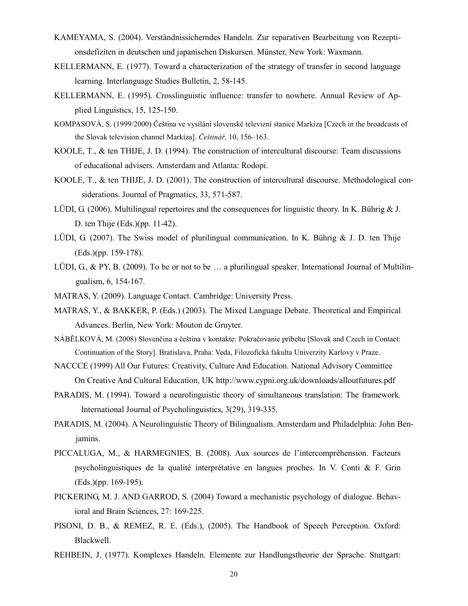- KAMEYAMA, S. (2004). Verständnissicherndes Handeln. Zur reparativen Bearbeitung von Rezeptionsdefiziten in deutschen und japanischen Diskursen. Münster, New York: Waxmann.
- KELLERMANN, E. (1977). Toward a characterization of the strategy of transfer in second language learning. Interlanguage Studies Bulletin, 2, 58-145.
- KELLERMANN, E. (1995). Crosslinguistic influence: transfer to nowhere. Annual Review of Applied Linguistics, 15, 125-150.
- KOMPASOVÁ, S. (1999/2000) Čeština ve vysílání slovenské televizní stanice Markíza [Czech in the broadcasts of the Slovak television channel Markíza]. Češtinář, 10, 156–163.
- KOOLE, T., & ten THIJE, J. D. (1994). The construction of intercultural discourse: Team discussions of educational advisers. Amsterdam and Atlanta: Rodopi.
- KOOLE, T., & ten THIJE, J. D. (2001). The construction of intercultural discourse. Methodological considerations. Journal of Pragmatics, 33, 571-587.
- LÜDI, G. (2006). Multilingual repertoires and the consequences for linguistic theory. In K. Bührig & J. D. ten Thije (Eds.)(pp. 11-42).
- LÜDI, G. (2007). The Swiss model of plurilingual communication. In K. Bührig & J. D. ten Thije (Eds.)(pp. 159-178).
- LÜDI, G., & PY, B. (2009). To be or not to be  $\ldots$  a plurilingual speaker. International Journal of Multilingualism, 6, 154-167.
- MATRAS, Y. (2009). Language Contact. Cambridge: University Press.
- MATRAS, Y., & BAKKER, P. (Eds.) (2003). The Mixed Language Debate. Theoretical and Empirical Advances. Berlin, New York: Mouton de Gruyter.
- NÁBĚLKOVÁ, M. (2008) Slovenčina a čeština v kontakte: Pokračovanie príbehu [Slovak and Czech in Contact: Continuation of the Story]. Bratislava, Praha: Veda, Filozofická fakulta Univerzity Karlovy v Praze.
- NACCCE (1999) All Our Futures: Creativity, Culture And Education. National Advisory Committee On Creative And Cultural Education, UK http://www.cypni.org.uk/downloads/alloutfutures.pdf
- PARADIS, M. (1994). Toward a neurolinguistic theory of simultaneous translation: The framework. International Journal of Psycholinguistics, 3(29), 319-335.
- PARADIS, M. (2004). A Neurolinguistic Theory of Bilingualism. Amsterdam and Philadelphia: John Benjamins.
- PICCALUGA, M., & HARMEGNIES, B. (2008). Aux sources de l'intercompréhension. Facteurs psycholinguistiques de la qualité interprétative en langues proches. In V. Conti & F. Grin (Eds.)(pp. 169-195).
- PICKERING, M. J. AND GARROD, S. (2004) Toward a mechanistic psychology of dialogue. Behavioral and Brain Sciences, 27: 169-225.
- PISONI, D. B., & REMEZ, R. E. (Eds.), (2005). The Handbook of Speech Perception. Oxford: Blackwell.
- REHBEIN, J. (1977). Komplexes Handeln. Elemente zur Handlungstheorie der Sprache. Stuttgart: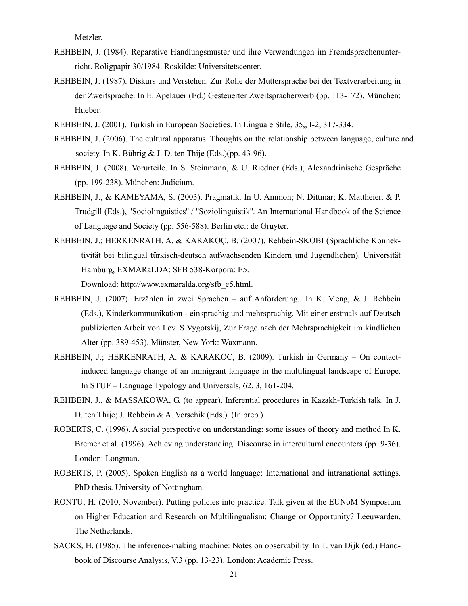Metzler.

- REHBEIN, J. (1984). Reparative Handlungsmuster und ihre Verwendungen im Fremdsprachenunterricht. Roligpapir 30/1984. Roskilde: Universitetscenter.
- REHBEIN, J. (1987). Diskurs und Verstehen. Zur Rolle der Muttersprache bei der Textverarbeitung in der Zweitsprache. In E. Apelauer (Ed.) Gesteuerter Zweitspracherwerb (pp. 113-172). München: Hueber.
- REHBEIN, J. (2001). Turkish in European Societies. In Lingua e Stile, 35,, I-2, 317-334.
- REHBEIN, J. (2006). The cultural apparatus. Thoughts on the relationship between language, culture and society. In K. Bührig  $& J$ . D. ten Thije (Eds.)(pp. 43-96).
- REHBEIN, J. (2008). Vorurteile. In S. Steinmann, & U. Riedner (Eds.), Alexandrinische Gespräche (pp. 199-238). München: Judicium.
- REHBEIN, J., & KAMEYAMA, S. (2003). Pragmatik. In U. Ammon; N. Dittmar; K. Mattheier, & P. Trudgill (Eds.), ''Sociolinguistics'' / ''Soziolinguistik''. An International Handbook of the Science of Language and Society (pp. 556-588). Berlin etc.: de Gruyter.
- REHBEIN, J.; HERKENRATH, A. & KARAKOÇ, B. (2007). Rehbein-SKOBI (Sprachliche Konnektivität bei bilingual türkisch-deutsch aufwachsenden Kindern und Jugendlichen). Universität Hamburg, EXMARaLDA: SFB 538-Korpora: E5.

Download: http://www.exmaralda.org/sfb\_e5.html.

- REHBEIN, J. (2007). Erzählen in zwei Sprachen auf Anforderung.. In K. Meng, & J. Rehbein (Eds.), Kinderkommunikation - einsprachig und mehrsprachig. Mit einer erstmals auf Deutsch publizierten Arbeit von Lev. S Vygotskij, Zur Frage nach der Mehrsprachigkeit im kindlichen Alter (pp. 389-453). Münster, New York: Waxmann.
- REHBEIN, J.; HERKENRATH, A. & KARAKOÇ, B. (2009). Turkish in Germany On contactinduced language change of an immigrant language in the multilingual landscape of Europe. In STUF – Language Typology and Universals, 62, 3, 161-204.
- REHBEIN, J., & MASSAKOWA, G. (to appear). Inferential procedures in Kazakh-Turkish talk. In J. D. ten Thije; J. Rehbein & A. Verschik (Eds.). (In prep.).
- ROBERTS, C. (1996). A social perspective on understanding: some issues of theory and method In K. Bremer et al. (1996). Achieving understanding: Discourse in intercultural encounters (pp. 9-36). London: Longman.
- ROBERTS, P. (2005). Spoken English as a world language: International and intranational settings. PhD thesis. University of Nottingham.
- RONTU, H. (2010, November). Putting policies into practice. Talk given at the EUNoM Symposium on Higher Education and Research on Multilingualism: Change or Opportunity? Leeuwarden, The Netherlands.
- SACKS, H. (1985). The inference-making machine: Notes on observability. In T. van Dijk (ed.) Handbook of Discourse Analysis, V.3 (pp. 13-23). London: Academic Press.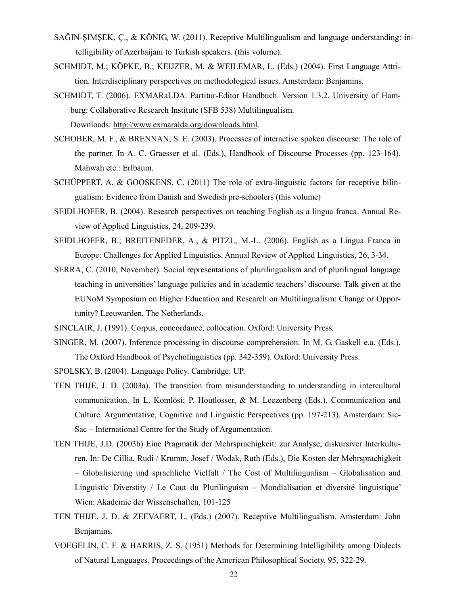- SAĞIN-ŞIMŞEK, Ç., & KÖNIG, W. (2011). Receptive Multilingualism and language understanding: intelligibility of Azerbaijani to Turkish speakers. (this volume).
- SCHMIDT, M.; KÖPKE, B.; KEIJZER, M. & WEILEMAR, L. (Eds.) (2004). First Language Attrition. Interdisciplinary perspectives on methodological issues. Amsterdam: Benjamins.
- SCHMIDT, T. (2006). EXMARaLDA. Partitur-Editor Handbuch. Version 1.3.2. University of Hamburg: Collaborative Research Institute (SFB 538) Multilingualism. Downloads: http://www.exmaralda.org/downloads.html.
- SCHOBER, M. F., & BRENNAN, S. E. (2003). Processes of interactive spoken discourse: The role of the partner. In A. C. Graesser et al. (Eds.), Handbook of Discourse Processes (pp. 123-164). Mahwah etc.: Erlbaum.
- SCHÜPPERT, A. & GOOSKENS, C. (2011) The role of extra-linguistic factors for receptive bilingualism: Evidence from Danish and Swedish pre-schoolers (this volume)
- SEIDLHOFER, B. (2004). Research perspectives on teaching English as a lingua franca. Annual Review of Applied Linguistics, 24, 209-239.
- SEIDLHOFER, B.; BREITENEDER, A., & PITZL, M.-L. (2006). English as a Lingua Franca in Europe: Challenges for Applied Linguistics. Annual Review of Applied Linguistics, 26, 3-34.
- SERRA, C. (2010, November). Social representations of plurilingualism and of plurilingual language teaching in universities' language policies and in academic teachers' discourse. Talk given at the EUNoM Symposium on Higher Education and Research on Multilingualism: Change or Opportunity? Leeuwarden, The Netherlands.
- SINCLAIR, J. (1991). Corpus, concordance, collocation. Oxford: University Press.
- SINGER, M. (2007). Inference processing in discourse comprehension. In M. G. Gaskell e.a. (Eds.), The Oxford Handbook of Psycholinguistics (pp. 342-359). Oxford: University Press.
- SPOLSKY, B. (2004). Language Policy. Cambridge: UP.
- TEN THIJE, J. D. (2003a). The transition from misunderstanding to understanding in intercultural communication. In L. Komlósi; P. Houtlosser, & M. Leezenberg (Eds.), Communication and Culture. Argumentative, Cognitive and Linguistic Perspectives (pp. 197-213). Amsterdam: Sic-Sac – International Centre for the Study of Argumentation.
- TEN THIJE, J.D. (2003b) Eine Pragmatik der Mehrsprachigkeit: zur Analyse, diskursiver Interkulturen. In: De Cillia, Rudi / Krumm, Josef / Wodak, Ruth (Eds.), Die Kosten der Mehrsprachigkeit – Globalisierung und sprachliche Vielfalt / The Cost of Multilingualism – Globalisation and Linguistic Diverstity / Le Cout du Plurilinguism – Mondialisation et diversité linguistique' Wien: Akademie der Wissenschaften, 101-125
- TEN THIJE, J. D. & ZEEVAERT, L. (Eds.) (2007). Receptive Multilingualism. Amsterdam: John Benjamins.
- VOEGELIN, C. F. & HARRIS, Z. S. (1951) Methods for Determining Intelligibility among Dialects of Natural Languages. Proceedings of the American Philosophical Society, 95, 322-29.